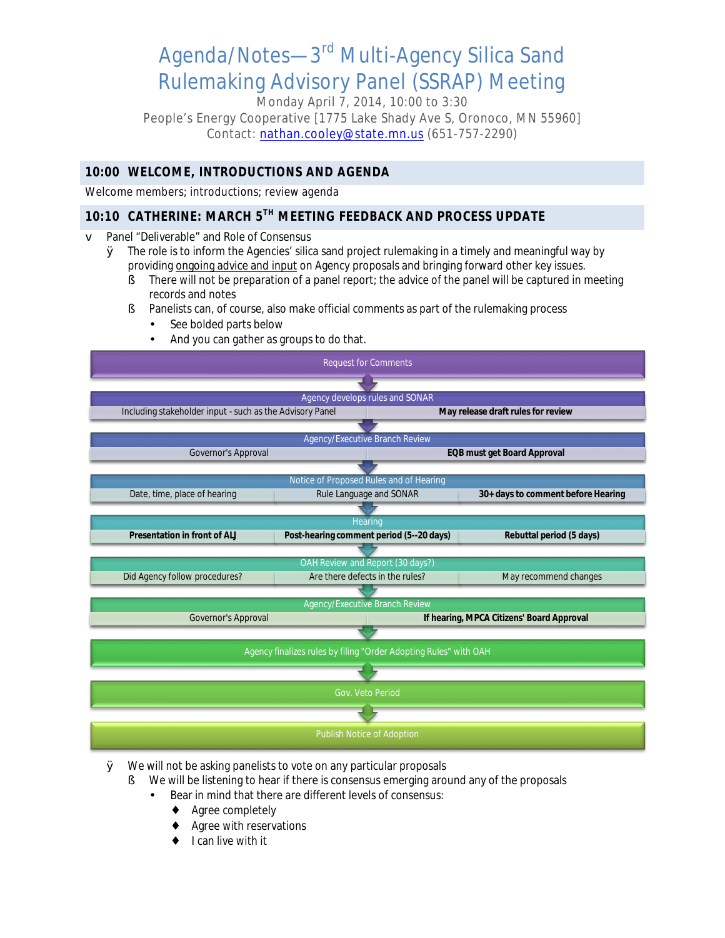# Agenda/Notes—3rd Multi-Agency Silica Sand Rulemaking Advisory Panel (SSRAP) Meeting

Monday April 7, 2014, 10:00 to 3:30 People's Energy Cooperative [1775 Lake Shady Ave S, Oronoco, MN 55960] Contact: [nathan.cooley@state.mn.us](mailto:Nathan.Cooley@state.mn.us) (651-757-2290)

#### **10:00 WELCOME, INTRODUCTIONS AND AGENDA**

Welcome members; introductions; review agenda

### **10:10 CATHERINE: MARCH 5TH MEETING FEEDBACK AND PROCESS UPDATE**

**v** Panel "Deliverable" and Role of Consensus

- Ø The role is to inform the Agencies' silica sand project rulemaking in a timely and meaningful way by providing ongoing advice and input on Agency proposals and bringing forward other key issues.
	- § There will not be preparation of a panel report; the advice of the panel will be captured in meeting records and notes
	- § Panelists can, of course, also make official comments as part of the rulemaking process
		- See bolded parts below
		- And you can gather as groups to do that.



- Ø We will not be asking panelists to vote on any particular proposals
	- § We will be listening to hear if there is consensus emerging around any of the proposals
		- Bear in mind that there are different levels of consensus:
			- Agree completely
			- Agree with reservations
			- I can live with it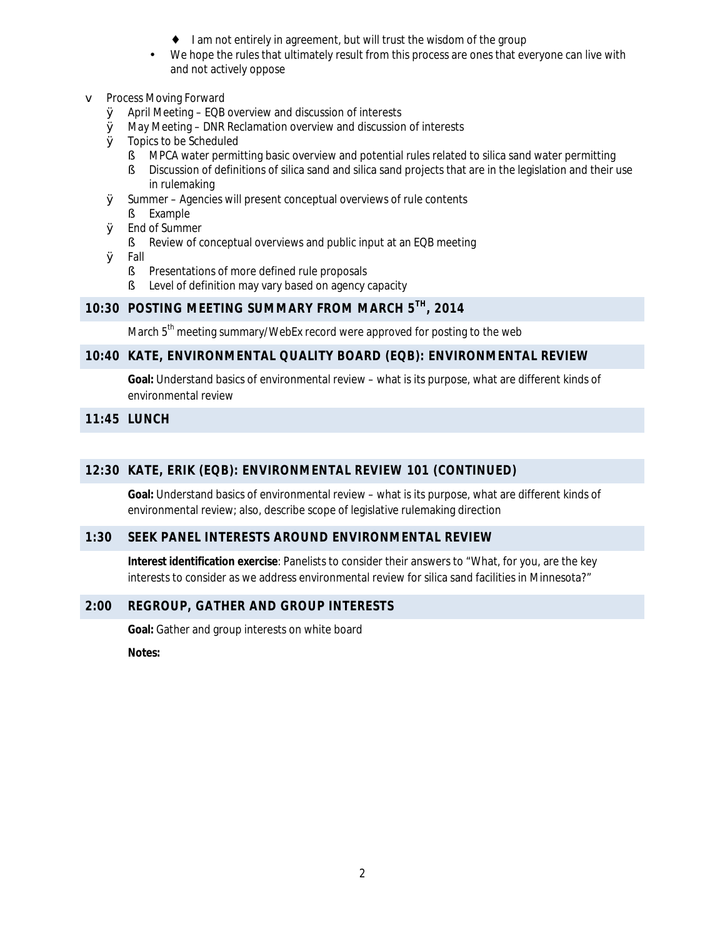- I am not entirely in agreement, but will trust the wisdom of the group
- We hope the rules that ultimately result from this process are ones that everyone can live with and not actively oppose

#### v Process Moving Forward

- Ø April Meeting EQB overview and discussion of interests
- Ø May Meeting DNR Reclamation overview and discussion of interests
- **Ø** Topics to be Scheduled
	- **§** MPCA water permitting basic overview and potential rules related to silica sand water permitting
	- § Discussion of definitions of silica sand and silica sand projects that are in the legislation and their use in rulemaking
- Ø Summer Agencies will present conceptual overviews of rule contents § Example
- Ø End of Summer
	- **§** Review of conceptual overviews and public input at an EQB meeting
- Ø Fall
	- **§** Presentations of more defined rule proposals
	- § Level of definition may vary based on agency capacity

#### **10:30 POSTING MEETING SUMMARY FROM MARCH 5TH, 2014**

March 5<sup>th</sup> meeting summary/WebEx record were approved for posting to the web

#### **10:40 KATE, ENVIRONMENTAL QUALITY BOARD (EQB): ENVIRONMENTAL REVIEW**

**Goal:** Understand basics of environmental review – what is its purpose, what are different kinds of environmental review

#### **11:45 LUNCH**

#### **12:30 KATE, ERIK (EQB): ENVIRONMENTAL REVIEW 101 (CONTINUED)**

**Goal:** Understand basics of environmental review – what is its purpose, what are different kinds of environmental review; also, describe scope of legislative rulemaking direction

#### **1:30 SEEK PANEL INTERESTS AROUND ENVIRONMENTAL REVIEW**

**Interest identification exercise**: Panelists to consider their answers to "What, for you, are the key interests to consider as we address environmental review for silica sand facilities in Minnesota?"

#### **2:00 REGROUP, GATHER AND GROUP INTERESTS**

**Goal:** Gather and group interests on white board

**Notes:**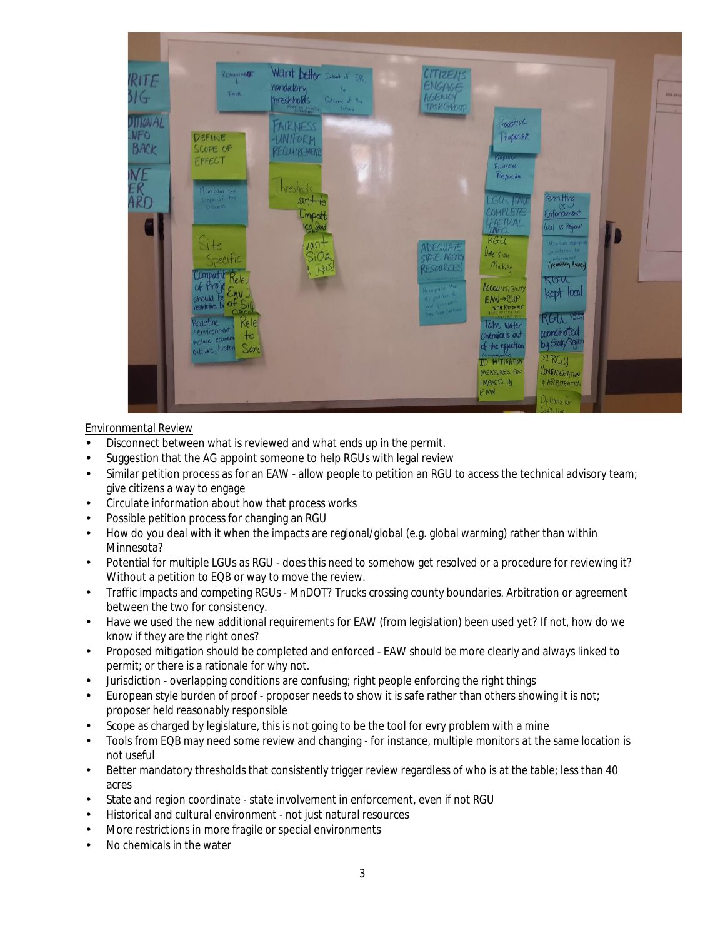

#### Environmental Review

- Disconnect between what is reviewed and what ends up in the permit.
- Suggestion that the AG appoint someone to help RGUs with legal review ÷,
- Similar petition process as for an EAW allow people to petition an RGU to access the technical advisory team; give citizens a way to engage
- Circulate information about how that process works
- Possible petition process for changing an RGU
- How do you deal with it when the impacts are regional/global (e.g. global warming) rather than within Minnesota?
- Potential for multiple LGUs as RGU does this need to somehow get resolved or a procedure for reviewing it? Without a petition to EQB or way to move the review.
- Traffic impacts and competing RGUs MnDOT? Trucks crossing county boundaries. Arbitration or agreement between the two for consistency.
- Have we used the new additional requirements for EAW (from legislation) been used yet? If not, how do we know if they are the right ones?
- Proposed mitigation should be completed and enforced EAW should be more clearly and always linked to permit; or there is a rationale for why not.
- Jurisdiction overlapping conditions are confusing; right people enforcing the right things
- European style burden of proof proposer needs to show it is safe rather than others showing it is not; proposer held reasonably responsible
- Scope as charged by legislature, this is not going to be the tool for evry problem with a mine
- Tools from EQB may need some review and changing for instance, multiple monitors at the same location is not useful
- Better mandatory thresholds that consistently trigger review regardless of who is at the table; less than 40 acres
- State and region coordinate state involvement in enforcement, even if not RGU
- Historical and cultural environment not just natural resources
- More restrictions in more fragile or special environments
- No chemicals in the water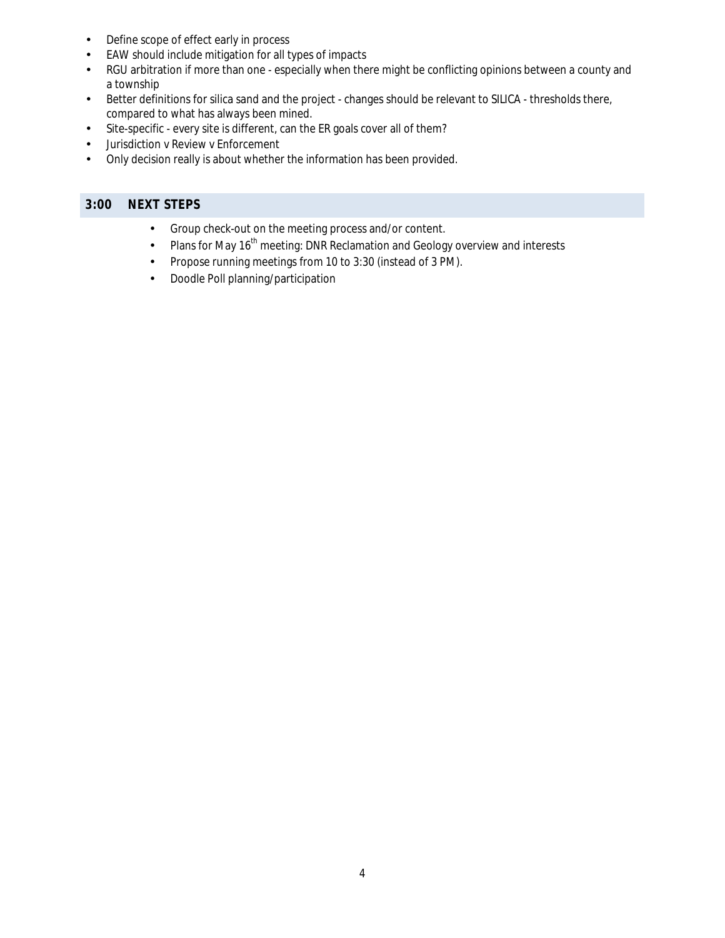- Define scope of effect early in process
- EAW should include mitigation for all types of impacts  $\overline{a}$
- RGU arbitration if more than one especially when there might be conflicting opinions between a county and  $\mathbf{r}$ a township
- Better definitions for silica sand and the project changes should be relevant to SILICA thresholds there,  $\epsilon$ compared to what has always been mined.
- Site-specific every site is different, can the ER goals cover all of them?  $\mathbf{r}$
- Jurisdiction v Review v Enforcement
- Only decision really is about whether the information has been provided.

#### **3:00 NEXT STEPS**

- Group check-out on the meeting process and/or content. l,
- Plans for May 16<sup>th</sup> meeting: DNR Reclamation and Geology overview and interests  $\hat{\mathbf{r}}$
- Propose running meetings from 10 to 3:30 (instead of 3 PM). Ŷ,
- Doodle Poll planning/participation ä,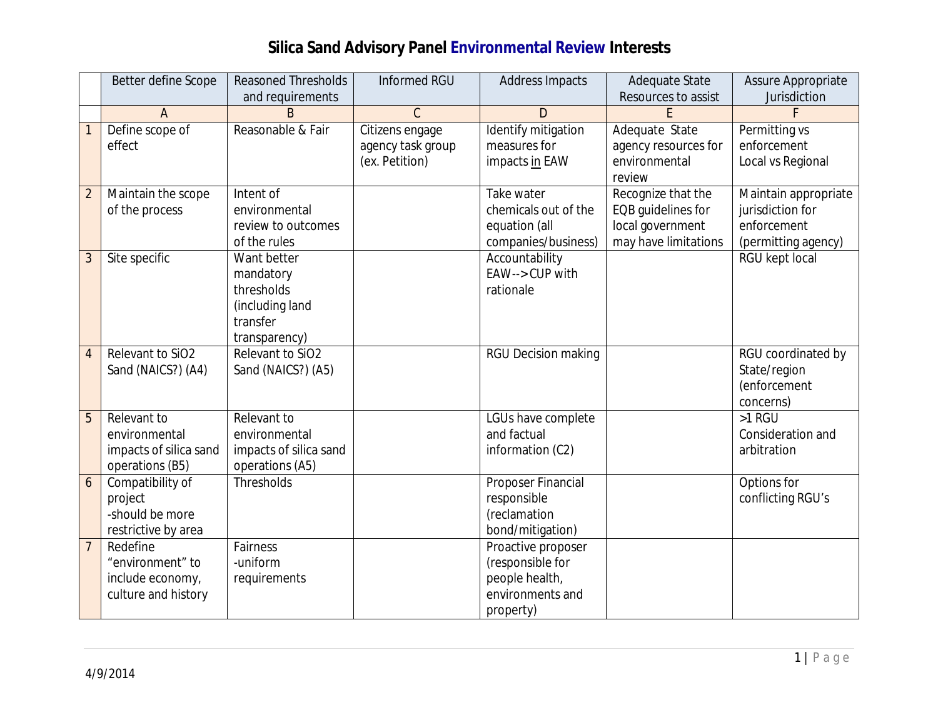## **Silica Sand Advisory Panel Environmental Review Interests**

|                  | Better define Scope    | <b>Reasoned Thresholds</b> | Informed RGU      | Address Impacts            | Adequate State       | Assure Appropriate   |
|------------------|------------------------|----------------------------|-------------------|----------------------------|----------------------|----------------------|
|                  |                        | and requirements           |                   |                            | Resources to assist  | Jurisdiction         |
|                  | $\overline{A}$         | B                          | $\mathsf{C}$      | D                          |                      |                      |
|                  | Define scope of        | Reasonable & Fair          | Citizens engage   | Identify mitigation        | Adequate State       | Permitting vs        |
|                  | effect                 |                            | agency task group | measures for               | agency resources for | enforcement          |
|                  |                        |                            | (ex. Petition)    | impacts in EAW             | environmental        | Local vs Regional    |
|                  |                        |                            |                   |                            | review               |                      |
| $\overline{2}$   | Maintain the scope     | Intent of                  |                   | Take water                 | Recognize that the   | Maintain appropriate |
|                  | of the process         | environmental              |                   | chemicals out of the       | EQB guidelines for   | jurisdiction for     |
|                  |                        | review to outcomes         |                   | equation (all              | local government     | enforcement          |
|                  |                        | of the rules               |                   | companies/business)        | may have limitations | (permitting agency)  |
| $\overline{3}$   | Site specific          | Want better                |                   | Accountability             |                      | RGU kept local       |
|                  |                        | mandatory                  |                   | EAW--> CUP with            |                      |                      |
|                  |                        | thresholds                 |                   | rationale                  |                      |                      |
|                  |                        | (including land            |                   |                            |                      |                      |
|                  |                        | transfer                   |                   |                            |                      |                      |
|                  |                        | transparency)              |                   |                            |                      |                      |
| $\overline{4}$   | Relevant to SiO2       | Relevant to SiO2           |                   | <b>RGU Decision making</b> |                      | RGU coordinated by   |
|                  | Sand (NAICS?) (A4)     | Sand (NAICS?) (A5)         |                   |                            |                      | State/region         |
|                  |                        |                            |                   |                            |                      | (enforcement         |
|                  |                        |                            |                   |                            |                      | concerns)            |
| 5                | Relevant to            | Relevant to                |                   | LGUs have complete         |                      | >1 RGU               |
|                  | environmental          | environmental              |                   | and factual                |                      | Consideration and    |
|                  | impacts of silica sand | impacts of silica sand     |                   | information (C2)           |                      | arbitration          |
|                  | operations (B5)        | operations (A5)            |                   |                            |                      |                      |
| $\boldsymbol{6}$ | Compatibility of       | Thresholds                 |                   | Proposer Financial         |                      | Options for          |
|                  | project                |                            |                   | responsible                |                      | conflicting RGU's    |
|                  | -should be more        |                            |                   | (reclamation               |                      |                      |
|                  | restrictive by area    |                            |                   | bond/mitigation)           |                      |                      |
| $\overline{7}$   | Redefine               | Fairness                   |                   | Proactive proposer         |                      |                      |
|                  | "environment" to       | -uniform                   |                   | (responsible for           |                      |                      |
|                  | include economy,       | requirements               |                   | people health,             |                      |                      |
|                  | culture and history    |                            |                   | environments and           |                      |                      |
|                  |                        |                            |                   | property)                  |                      |                      |